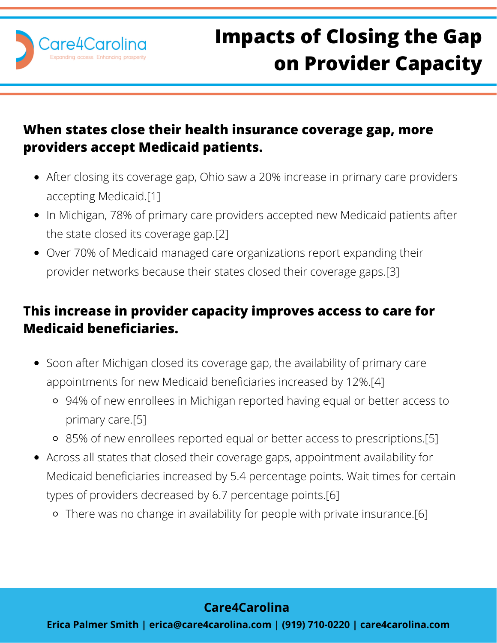

## **When states close their health insurance coverage gap, more providers accept Medicaid patients.**

- After closing its coverage gap, Ohio saw a 20% increase in primary care providers accepting Medicaid.[1]
- In Michigan, 78% of primary care providers accepted new Medicaid patients after the state closed its coverage gap.[2]
- Over 70% of Medicaid managed care organizations report expanding their provider networks because their states closed their coverage gaps.[3]

## **This increase in provider capacity improves access to care for Medicaid beneficiaries.**

- Soon after Michigan closed its coverage gap, the availability of primary care appointments for new Medicaid beneficiaries increased by 12%.[4]
	- 94% of new enrollees in Michigan reported having equal or better access to primary care.[5]
	- 85% of new enrollees reported equal or better access to prescriptions.[5]
- Across all states that closed their coverage gaps, appointment availability for Medicaid beneficiaries increased by 5.4 percentage points. Wait times for certain types of providers decreased by 6.7 percentage points.[6]
	- There was no change in availability for people with private insurance.[6]

## **Care4Carolina**

**Erica Palmer Smith | erica@care4carolina.com | (919) 710-0220 | care4carolina.com**